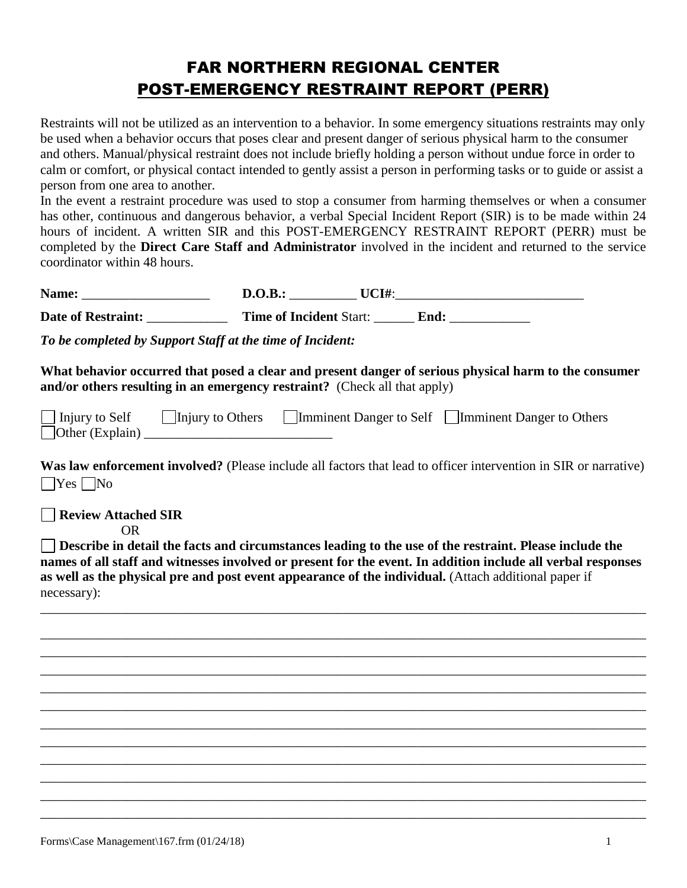# FAR NORTHERN REGIONAL CENTER POST-EMERGENCY RESTRAINT REPORT (PERR)

Restraints will not be utilized as an intervention to a behavior. In some emergency situations restraints may only be used when a behavior occurs that poses clear and present danger of serious physical harm to the consumer and others. Manual/physical restraint does not include briefly holding a person without undue force in order to calm or comfort, or physical contact intended to gently assist a person in performing tasks or to guide or assist a person from one area to another.

In the event a restraint procedure was used to stop a consumer from harming themselves or when a consumer has other, continuous and dangerous behavior, a verbal Special Incident Report (SIR) is to be made within 24 hours of incident. A written SIR and this POST-EMERGENCY RESTRAINT REPORT (PERR) must be completed by the **Direct Care Staff and Administrator** involved in the incident and returned to the service coordinator within 48 hours.

| Name:                     | D.O.B.:                        | UCI#: |  |
|---------------------------|--------------------------------|-------|--|
| <b>Date of Restraint:</b> | <b>Time of Incident Start:</b> | End:  |  |

*To be completed by Support Staff at the time of Incident:*

**What behavior occurred that posed a clear and present danger of serious physical harm to the consumer and/or others resulting in an emergency restraint?** (Check all that apply)

| $\Box$ Injury to Self | Injury to Others | Imminent Danger to Self Imminent Danger to Others |
|-----------------------|------------------|---------------------------------------------------|
| Other $(Explain)$     |                  |                                                   |

**Was law enforcement involved?** (Please include all factors that lead to officer intervention in SIR or narrative)  $\Box$ Yes  $\Box$ No

**Review Attached SIR**

OR

**Describe in detail the facts and circumstances leading to the use of the restraint. Please include the names of all staff and witnesses involved or present for the event. In addition include all verbal responses as well as the physical pre and post event appearance of the individual.** (Attach additional paper if necessary):

\_\_\_\_\_\_\_\_\_\_\_\_\_\_\_\_\_\_\_\_\_\_\_\_\_\_\_\_\_\_\_\_\_\_\_\_\_\_\_\_\_\_\_\_\_\_\_\_\_\_\_\_\_\_\_\_\_\_\_\_\_\_\_\_\_\_\_\_\_\_\_\_\_\_\_\_\_\_\_\_\_\_\_\_\_\_\_\_\_\_

\_\_\_\_\_\_\_\_\_\_\_\_\_\_\_\_\_\_\_\_\_\_\_\_\_\_\_\_\_\_\_\_\_\_\_\_\_\_\_\_\_\_\_\_\_\_\_\_\_\_\_\_\_\_\_\_\_\_\_\_\_\_\_\_\_\_\_\_\_\_\_\_\_\_\_\_\_\_\_\_\_\_\_\_\_\_\_\_\_\_ \_\_\_\_\_\_\_\_\_\_\_\_\_\_\_\_\_\_\_\_\_\_\_\_\_\_\_\_\_\_\_\_\_\_\_\_\_\_\_\_\_\_\_\_\_\_\_\_\_\_\_\_\_\_\_\_\_\_\_\_\_\_\_\_\_\_\_\_\_\_\_\_\_\_\_\_\_\_\_\_\_\_\_\_\_\_\_\_\_\_ \_\_\_\_\_\_\_\_\_\_\_\_\_\_\_\_\_\_\_\_\_\_\_\_\_\_\_\_\_\_\_\_\_\_\_\_\_\_\_\_\_\_\_\_\_\_\_\_\_\_\_\_\_\_\_\_\_\_\_\_\_\_\_\_\_\_\_\_\_\_\_\_\_\_\_\_\_\_\_\_\_\_\_\_\_\_\_\_\_\_ \_\_\_\_\_\_\_\_\_\_\_\_\_\_\_\_\_\_\_\_\_\_\_\_\_\_\_\_\_\_\_\_\_\_\_\_\_\_\_\_\_\_\_\_\_\_\_\_\_\_\_\_\_\_\_\_\_\_\_\_\_\_\_\_\_\_\_\_\_\_\_\_\_\_\_\_\_\_\_\_\_\_\_\_\_\_\_\_\_\_ \_\_\_\_\_\_\_\_\_\_\_\_\_\_\_\_\_\_\_\_\_\_\_\_\_\_\_\_\_\_\_\_\_\_\_\_\_\_\_\_\_\_\_\_\_\_\_\_\_\_\_\_\_\_\_\_\_\_\_\_\_\_\_\_\_\_\_\_\_\_\_\_\_\_\_\_\_\_\_\_\_\_\_\_\_\_\_\_\_\_ \_\_\_\_\_\_\_\_\_\_\_\_\_\_\_\_\_\_\_\_\_\_\_\_\_\_\_\_\_\_\_\_\_\_\_\_\_\_\_\_\_\_\_\_\_\_\_\_\_\_\_\_\_\_\_\_\_\_\_\_\_\_\_\_\_\_\_\_\_\_\_\_\_\_\_\_\_\_\_\_\_\_\_\_\_\_\_\_\_\_ \_\_\_\_\_\_\_\_\_\_\_\_\_\_\_\_\_\_\_\_\_\_\_\_\_\_\_\_\_\_\_\_\_\_\_\_\_\_\_\_\_\_\_\_\_\_\_\_\_\_\_\_\_\_\_\_\_\_\_\_\_\_\_\_\_\_\_\_\_\_\_\_\_\_\_\_\_\_\_\_\_\_\_\_\_\_\_\_\_\_ \_\_\_\_\_\_\_\_\_\_\_\_\_\_\_\_\_\_\_\_\_\_\_\_\_\_\_\_\_\_\_\_\_\_\_\_\_\_\_\_\_\_\_\_\_\_\_\_\_\_\_\_\_\_\_\_\_\_\_\_\_\_\_\_\_\_\_\_\_\_\_\_\_\_\_\_\_\_\_\_\_\_\_\_\_\_\_\_\_\_ \_\_\_\_\_\_\_\_\_\_\_\_\_\_\_\_\_\_\_\_\_\_\_\_\_\_\_\_\_\_\_\_\_\_\_\_\_\_\_\_\_\_\_\_\_\_\_\_\_\_\_\_\_\_\_\_\_\_\_\_\_\_\_\_\_\_\_\_\_\_\_\_\_\_\_\_\_\_\_\_\_\_\_\_\_\_\_\_\_\_ \_\_\_\_\_\_\_\_\_\_\_\_\_\_\_\_\_\_\_\_\_\_\_\_\_\_\_\_\_\_\_\_\_\_\_\_\_\_\_\_\_\_\_\_\_\_\_\_\_\_\_\_\_\_\_\_\_\_\_\_\_\_\_\_\_\_\_\_\_\_\_\_\_\_\_\_\_\_\_\_\_\_\_\_\_\_\_\_\_\_ \_\_\_\_\_\_\_\_\_\_\_\_\_\_\_\_\_\_\_\_\_\_\_\_\_\_\_\_\_\_\_\_\_\_\_\_\_\_\_\_\_\_\_\_\_\_\_\_\_\_\_\_\_\_\_\_\_\_\_\_\_\_\_\_\_\_\_\_\_\_\_\_\_\_\_\_\_\_\_\_\_\_\_\_\_\_\_\_\_\_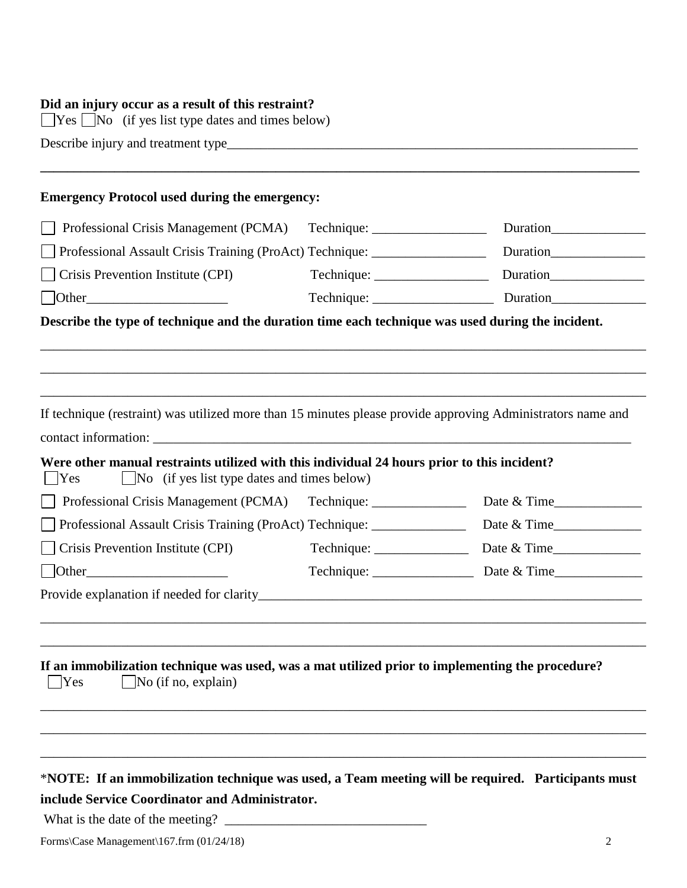### **Did an injury occur as a result of this restraint?**

 $\Box$  Yes  $\Box$  No (if yes list type dates and times below)

Describe injury and treatment type\_\_\_\_\_\_\_\_\_\_\_\_\_\_\_\_\_\_\_\_\_\_\_\_\_\_\_\_\_\_\_\_\_\_\_\_\_\_\_\_\_\_\_\_\_\_\_\_\_\_\_\_\_\_\_\_\_\_\_\_\_

## **Emergency Protocol used during the emergency:**

| Professional Crisis Management (PCMA)                                                                                                     |                 | Duration                   |
|-------------------------------------------------------------------------------------------------------------------------------------------|-----------------|----------------------------|
| Professional Assault Crisis Training (ProAct) Technique: _______________________                                                          |                 |                            |
| Crisis Prevention Institute (CPI)                                                                                                         |                 |                            |
|                                                                                                                                           |                 |                            |
| Describe the type of technique and the duration time each technique was used during the incident.                                         |                 |                            |
|                                                                                                                                           |                 |                            |
|                                                                                                                                           |                 |                            |
|                                                                                                                                           |                 |                            |
|                                                                                                                                           |                 |                            |
| If technique (restraint) was utilized more than 15 minutes please provide approving Administrators name and                               |                 |                            |
|                                                                                                                                           |                 |                            |
| Were other manual restraints utilized with this individual 24 hours prior to this incident?                                               |                 |                            |
|                                                                                                                                           |                 |                            |
| <b>Yes</b>                                                                                                                                |                 |                            |
| No (if yes list type dates and times below)<br>Professional Crisis Management (PCMA) Technique: ________________________________          |                 | Date & Time                |
| Professional Assault Crisis Training (ProAct) Technique: ______________                                                                   |                 |                            |
| Crisis Prevention Institute (CPI)                                                                                                         | $Technique: \_$ |                            |
|                                                                                                                                           |                 |                            |
| Other                                                                                                                                     |                 | Date & Time<br>Date & Time |
|                                                                                                                                           |                 |                            |
|                                                                                                                                           |                 |                            |
|                                                                                                                                           |                 |                            |
|                                                                                                                                           |                 |                            |
| If an immobilization technique was used, was a mat utilized prior to implementing the procedure?<br>$\Box$ No (if no, explain)<br>$ $ Yes |                 |                            |
|                                                                                                                                           |                 |                            |
|                                                                                                                                           |                 |                            |

**\_\_\_\_\_\_\_\_\_\_\_\_\_\_\_\_\_\_\_\_\_\_\_\_\_\_\_\_\_\_\_\_\_\_\_\_\_\_\_\_\_\_\_\_\_\_\_\_\_\_\_\_\_\_\_\_\_\_\_\_\_\_\_\_\_\_\_\_\_\_\_\_\_\_\_\_\_\_\_\_\_\_\_\_\_\_\_\_\_**

# \***NOTE: If an immobilization technique was used, a Team meeting will be required. Participants must include Service Coordinator and Administrator.**

What is the date of the meeting?  $\Box$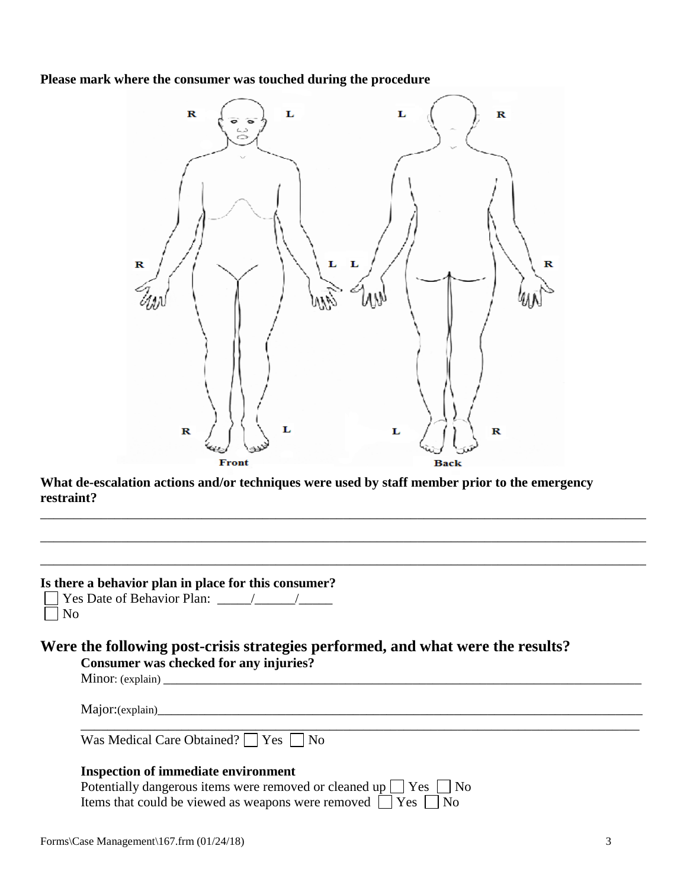**Please mark where the consumer was touched during the procedure**



**What de-escalation actions and/or techniques were used by staff member prior to the emergency restraint?** 

\_\_\_\_\_\_\_\_\_\_\_\_\_\_\_\_\_\_\_\_\_\_\_\_\_\_\_\_\_\_\_\_\_\_\_\_\_\_\_\_\_\_\_\_\_\_\_\_\_\_\_\_\_\_\_\_\_\_\_\_\_\_\_\_\_\_\_\_\_\_\_\_\_\_\_\_\_\_\_\_\_\_\_\_\_\_\_\_\_\_

\_\_\_\_\_\_\_\_\_\_\_\_\_\_\_\_\_\_\_\_\_\_\_\_\_\_\_\_\_\_\_\_\_\_\_\_\_\_\_\_\_\_\_\_\_\_\_\_\_\_\_\_\_\_\_\_\_\_\_\_\_\_\_\_\_\_\_\_\_\_\_\_\_\_\_\_\_\_\_\_\_\_\_\_\_\_\_\_\_\_

\_\_\_\_\_\_\_\_\_\_\_\_\_\_\_\_\_\_\_\_\_\_\_\_\_\_\_\_\_\_\_\_\_\_\_\_\_\_\_\_\_\_\_\_\_\_\_\_\_\_\_\_\_\_\_\_\_\_\_\_\_\_\_\_\_\_\_\_\_\_\_\_\_\_\_\_\_\_\_\_\_\_\_\_\_\_\_\_\_\_

\_\_\_\_\_\_\_\_\_\_\_\_\_\_\_\_\_\_\_\_\_\_\_\_\_\_\_\_\_\_\_\_\_\_\_\_\_\_\_\_\_\_\_\_\_\_\_\_\_\_\_\_\_\_\_\_\_\_\_\_\_\_\_\_\_\_\_\_\_\_\_\_\_\_\_\_\_\_\_\_\_\_\_

| Is there a behavior plan in place for this consumer? |  |  |
|------------------------------------------------------|--|--|
| <b>Yes Date of Behavior Plan:</b>                    |  |  |

**Were the following post-crisis strategies performed, and what were the results?**

|                  | Consumer was checked for any injuries? |  |  |
|------------------|----------------------------------------|--|--|
| Minor: (explain) |                                        |  |  |
|                  |                                        |  |  |

Major:(explain)\_\_\_\_\_\_\_\_\_\_\_\_\_\_\_\_\_\_\_\_\_\_\_\_\_\_\_\_\_\_\_\_\_\_\_\_\_\_\_\_\_\_\_\_\_\_\_\_\_\_\_\_\_\_\_\_\_\_\_\_\_\_\_\_\_\_\_\_\_\_\_\_

No

| Was Medical Care Obtained? $\Box$ Yes $\Box$ No |  |  |  |
|-------------------------------------------------|--|--|--|
|-------------------------------------------------|--|--|--|

### **Inspection of immediate environment**

| Potentially dangerous items were removed or cleaned up $\Box$ Yes $\Box$ No |  |
|-----------------------------------------------------------------------------|--|
| Items that could be viewed as weapons were removed $\Box$ Yes $\Box$ No     |  |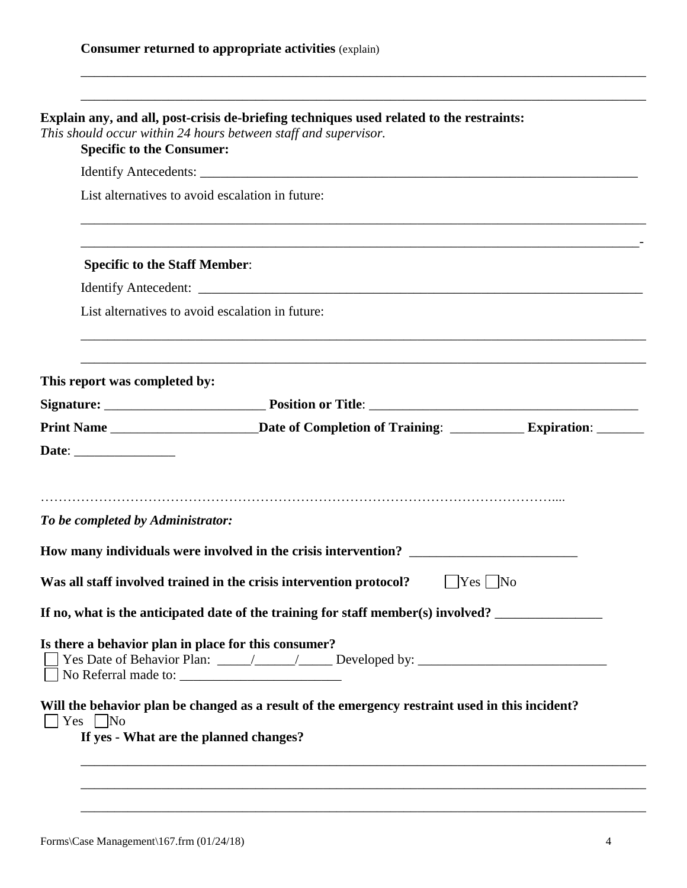| <b>Specific to the Consumer:</b>                             | This should occur within 24 hours between staff and supervisor.                                          |                |
|--------------------------------------------------------------|----------------------------------------------------------------------------------------------------------|----------------|
|                                                              |                                                                                                          |                |
|                                                              | List alternatives to avoid escalation in future:                                                         |                |
| <b>Specific to the Staff Member:</b>                         |                                                                                                          |                |
|                                                              |                                                                                                          |                |
|                                                              | List alternatives to avoid escalation in future:                                                         |                |
| This report was completed by:                                |                                                                                                          |                |
|                                                              |                                                                                                          |                |
|                                                              | Print Name ___________________________Date of Completion of Training: ____________ Expiration: _________ |                |
|                                                              |                                                                                                          |                |
|                                                              | How many individuals were involved in the crisis intervention? ________________________                  |                |
|                                                              | Was all staff involved trained in the crisis intervention protocol?                                      | $ $ Yes $ $ No |
| Date: _________________<br>To be completed by Administrator: | If no, what is the anticipated date of the training for staff member(s) involved?                        |                |
| Is there a behavior plan in place for this consumer?         |                                                                                                          |                |

\_\_\_\_\_\_\_\_\_\_\_\_\_\_\_\_\_\_\_\_\_\_\_\_\_\_\_\_\_\_\_\_\_\_\_\_\_\_\_\_\_\_\_\_\_\_\_\_\_\_\_\_\_\_\_\_\_\_\_\_\_\_\_\_\_\_\_\_\_\_\_\_\_\_\_\_\_\_\_\_\_\_\_\_

\_\_\_\_\_\_\_\_\_\_\_\_\_\_\_\_\_\_\_\_\_\_\_\_\_\_\_\_\_\_\_\_\_\_\_\_\_\_\_\_\_\_\_\_\_\_\_\_\_\_\_\_\_\_\_\_\_\_\_\_\_\_\_\_\_\_\_\_\_\_\_\_\_\_\_\_\_\_\_\_\_\_\_\_